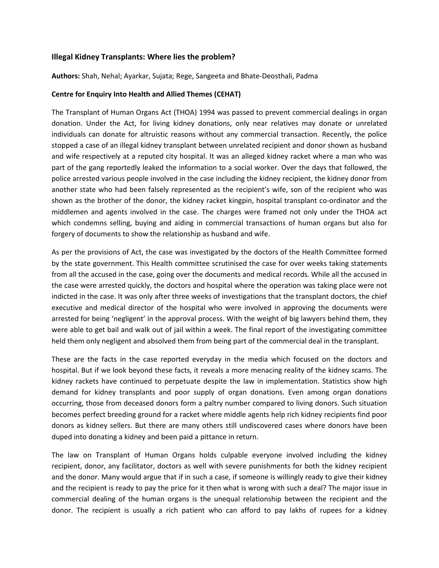## **Illegal Kidney Transplants: Where lies the problem?**

**Authors:** Shah, Nehal; Ayarkar, Sujata; Rege, Sangeeta and Bhate-Deosthali, Padma

## **Centre for Enquiry Into Health and Allied Themes (CEHAT)**

The Transplant of Human Organs Act (THOA) 1994 was passed to prevent commercial dealings in organ donation. Under the Act, for living kidney donations, only near relatives may donate or unrelated individuals can donate for altruistic reasons without any commercial transaction. Recently, the police stopped a case of an illegal kidney transplant between unrelated recipient and donor shown as husband and wife respectively at a reputed city hospital. It was an alleged kidney racket where a man who was part of the gang reportedly leaked the information to a social worker. Over the days that followed, the police arrested various people involved in the case including the kidney recipient, the kidney donor from another state who had been falsely represented as the recipient's wife, son of the recipient who was shown as the brother of the donor, the kidney racket kingpin, hospital transplant co-ordinator and the middlemen and agents involved in the case. The charges were framed not only under the THOA act which condemns selling, buying and aiding in commercial transactions of human organs but also for forgery of documents to show the relationship as husband and wife.

As per the provisions of Act, the case was investigated by the doctors of the Health Committee formed by the state government. This Health committee scrutinised the case for over weeks taking statements from all the accused in the case, going over the documents and medical records. While all the accused in the case were arrested quickly, the doctors and hospital where the operation was taking place were not indicted in the case. It was only after three weeks of investigations that the transplant doctors, the chief executive and medical director of the hospital who were involved in approving the documents were arrested for being 'negligent' in the approval process. With the weight of big lawyers behind them, they were able to get bail and walk out of jail within a week. The final report of the investigating committee held them only negligent and absolved them from being part of the commercial deal in the transplant.

These are the facts in the case reported everyday in the media which focused on the doctors and hospital. But if we look beyond these facts, it reveals a more menacing reality of the kidney scams. The kidney rackets have continued to perpetuate despite the law in implementation. Statistics show high demand for kidney transplants and poor supply of organ donations. Even among organ donations occurring, those from deceased donors form a paltry number compared to living donors. Such situation becomes perfect breeding ground for a racket where middle agents help rich kidney recipients find poor donors as kidney sellers. But there are many others still undiscovered cases where donors have been duped into donating a kidney and been paid a pittance in return.

The law on Transplant of Human Organs holds culpable everyone involved including the kidney recipient, donor, any facilitator, doctors as well with severe punishments for both the kidney recipient and the donor. Many would argue that if in such a case, if someone is willingly ready to give their kidney and the recipient is ready to pay the price for it then what is wrong with such a deal? The major issue in commercial dealing of the human organs is the unequal relationship between the recipient and the donor. The recipient is usually a rich patient who can afford to pay lakhs of rupees for a kidney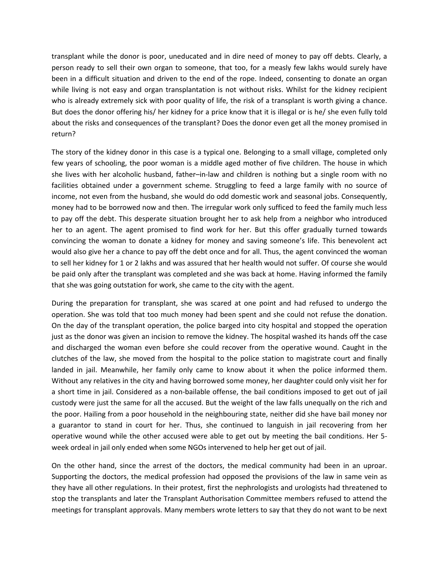transplant while the donor is poor, uneducated and in dire need of money to pay off debts. Clearly, a person ready to sell their own organ to someone, that too, for a measly few lakhs would surely have been in a difficult situation and driven to the end of the rope. Indeed, consenting to donate an organ while living is not easy and organ transplantation is not without risks. Whilst for the kidney recipient who is already extremely sick with poor quality of life, the risk of a transplant is worth giving a chance. But does the donor offering his/ her kidney for a price know that it is illegal or is he/ she even fully told about the risks and consequences of the transplant? Does the donor even get all the money promised in return?

The story of the kidney donor in this case is a typical one. Belonging to a small village, completed only few years of schooling, the poor woman is a middle aged mother of five children. The house in which she lives with her alcoholic husband, father–in-law and children is nothing but a single room with no facilities obtained under a government scheme. Struggling to feed a large family with no source of income, not even from the husband, she would do odd domestic work and seasonal jobs. Consequently, money had to be borrowed now and then. The irregular work only sufficed to feed the family much less to pay off the debt. This desperate situation brought her to ask help from a neighbor who introduced her to an agent. The agent promised to find work for her. But this offer gradually turned towards convincing the woman to donate a kidney for money and saving someone's life. This benevolent act would also give her a chance to pay off the debt once and for all. Thus, the agent convinced the woman to sell her kidney for 1 or 2 lakhs and was assured that her health would not suffer. Of course she would be paid only after the transplant was completed and she was back at home. Having informed the family that she was going outstation for work, she came to the city with the agent.

During the preparation for transplant, she was scared at one point and had refused to undergo the operation. She was told that too much money had been spent and she could not refuse the donation. On the day of the transplant operation, the police barged into city hospital and stopped the operation just as the donor was given an incision to remove the kidney. The hospital washed its hands off the case and discharged the woman even before she could recover from the operative wound. Caught in the clutches of the law, she moved from the hospital to the police station to magistrate court and finally landed in jail. Meanwhile, her family only came to know about it when the police informed them. Without any relatives in the city and having borrowed some money, her daughter could only visit her for a short time in jail. Considered as a non-bailable offense, the bail conditions imposed to get out of jail custody were just the same for all the accused. But the weight of the law falls unequally on the rich and the poor. Hailing from a poor household in the neighbouring state, neither did she have bail money nor a guarantor to stand in court for her. Thus, she continued to languish in jail recovering from her operative wound while the other accused were able to get out by meeting the bail conditions. Her 5 week ordeal in jail only ended when some NGOs intervened to help her get out of jail.

On the other hand, since the arrest of the doctors, the medical community had been in an uproar. Supporting the doctors, the medical profession had opposed the provisions of the law in same vein as they have all other regulations. In their protest, first the nephrologists and urologists had threatened to stop the transplants and later the Transplant Authorisation Committee members refused to attend the meetings for transplant approvals. Many members wrote letters to say that they do not want to be next